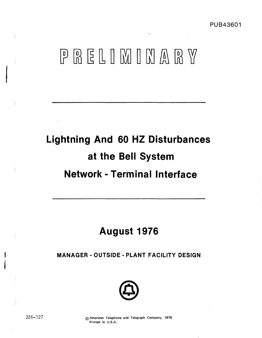PUB43601

# PRELIMINARY

# **Lightning And 60 HZ Disturbances at the Bell System Network** - **Terminal Interface**

# **August 1976**

**MANAGER** - **OUTSIDE** - **PLANT FACILITY DESIGN** 



f

326- 127 © American Telephone and Telegraph Company, 1976 Printed in U.S.A.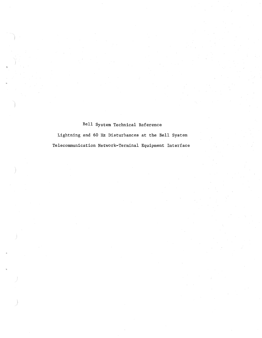# Bell System Technical Reference

Lightning and 60 Hz Disturbances at the Bell System Telecommunication Network-Terminal Equipment Interface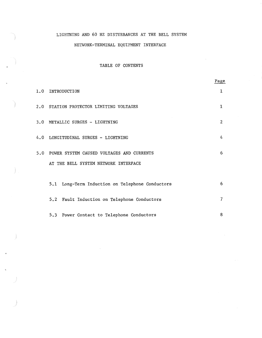### LIGHTNING AND 60 HZ DISTURBANCES AT THE BELL SYSTEM

### NETWORK-TERMINAL EQUIPMENT INTERFACE

# TABLE OF CONTENTS

|                                                 | Page           |
|-------------------------------------------------|----------------|
| 1.0 INTRODUCTION                                | 1              |
| 2.0 STATION PROTECTOR LIMITING VOLTAGES         | 1              |
| 3.0 METALLIC SURGES - LIGHTNING                 | $\overline{2}$ |
| 4.0 LONGITUDINAL SURGES - LIGHTNING             | 4              |
| 5.0 POWER SYSTEM CAUSED VOLTAGES AND CURRENTS   | 6              |
| AT THE BELL SYSTEM NETWORK INTERFACE            |                |
| 5.1 Long-Term Induction on Telephone Conductors | 6              |
| 5.2 Fault Induction on Telephone Conductors     | $\overline{7}$ |
| 5.3 Power Contact to Telephone Conductors       | 8              |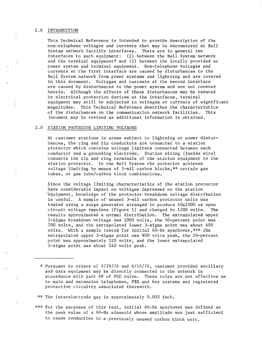#### 1.0 INTRODUCTION

This Technical Reference is intended to provide description of the non-telephone voltages and currents that may be encountered at Bell System network facility interfaces. There are in general two interfaces to such equipment: (1) between the Bell System network and the terminal equipment\* and (2) between the locally provided ac power system and terminal equipment. Non-telephone voltages and currents at the first interface are caused by disturbances to the Bell System network from power systems and lightning and are covered in this document. Voltages and currents at the second interface are caused by disturbances to the power system and are not covered herein. Although the effects of these disturbances may be reduced by electrical protection devices at the interfaces, terminal equipment may still be subjected to voltages or currents of significant magnitudes. This Technical Reference describes the characteristics of the disturbances on the communication network facilities. This locument may be revised as additional information is obtained.

#### 2.0 STATION PROTECTOR LIMITING VOLTAGES

At customer stations in areas subject to lightning or power disturbances, the ring and tip conductors are connected to a station protector which contains voltage limiters connected between each conductor and a grounding electrode, Station wiring (inside wire) connects the tip and ring terminals of the station equipment to the station protector. In the Bell System the protector achieves voltage limiting by means of 3-mil carbon blocks,\*\* certain gas tubes, or gas tube/carbon block combinations.

Since the voltage limiting characteristics of the station protector have considerable impact on voltages impressed on the station 'equipment, knowledge of the protector breakdown voltage distribution is useful. A sample of unused 3-mil carbon protector units was tested using a surge generator arranged to produce  $10x1000$  us open circuit voltage impulses (Figure 1) and charged to 1200 volts. The results approximated a normal distribution. The extrapolated- upper 3-sigma breakdown voltage was 1000 volts, the SO-percent point was 700 volts, and the extrapolated lower 3-sigma point was about 400 volts. With a sample tested for initial 60-Hz sparkover,\*\*\* the extrapolated upper 3-sigma point was 800 volts peak, the 50-percent point was approximately 520 volts, and the lower extrapolated 3-sigma point was about 240 volts peak.

\* Pursuant to orders of 4/29/76 and 6/16/76, customer provided ancillary and data equipment may be directly connected to the network in accordance with part 68 of FCC rules. These rules are not effective as to main and extension telephones, PBX and key systems and registered protective circuitry associated therewith.

'~\* The interelectrode gap is approximately O. 003 inch.

\*\*\* For the purposes of this test, initial 60-Hz sparkover was defined as the peak value of a 60-Hz sinusoid whose amplitude was just sufficient to cause conduction in a previously unused carbon block unit.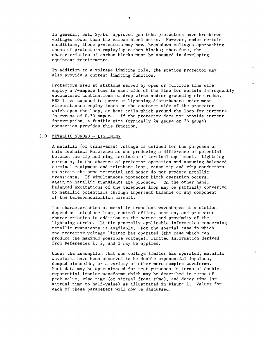In general, Bell System approved gas tube protectors have breakdown voltages lower than the carbon block units. However, under certain conditions, these protectors may have breakdown voltages approaching those of protectors employing carbon blocks; therefore, the characteristics of carbon blocks must be assumed in developing equipment requirements.

In addition to a voltage limiting role, the station protector may also provide a current limiting function,

Protectors used at stations served by open or multiple line wire employ a 7-ampere fuse in each side of the line for certain infrequently encountered combinations of drop wires and/or grounding electrodes. PBX lines exposed to power or lightning disturbances under most circumstances employ fuses on the customer side of the protector which open the loop, or heat coils which ground the loop for currents in excess of 0,35 ampere. If the protector does not provide current interruption, a fusible wire (typically 24 gauge or 26 gauge) connection provides this function.

#### 3.0 METALLIC SURGES - LIGHTNING

A metallic (or transverse) voltage is defined for the purposes of this Technical Reference as one producing a difference of potential between the tip and ring terminals of terminal equipment, Lightning currents, in the absence of protector operation and assuming balanced terminal equipment and telephone loop, cause tip and ring conductors to attain the same potential and hence do not produce metallic transients. If simultaneous protector block operation occurs, again no metallic transients are produced. On the other hand, balanced excitations of the telephone loop may be partially converted to metallic potentials through imperfect balance of any component of the telecommunication circuit.

The characteristics of metallic transient waveshapes at a station depend on telephone loop, central office, station, and protector characteristics in addition to the nature and proximity of the lightning stroke. Little generally applicable information concerning metallic transients is available. For the special case in which one protector voltage limiter has operated (the case which can produce the maximum possible voltage), limited information derived from References 1, 2, and 3 may be applied.

Under the assumption that one voltage limiter has operated, metallic waveforms have been observed to be double exponential impulses, damped sinusoids, or a variety of other more complex waveforms. Most data may be approximated for test purposes in terms of double exponential impulse waveforms which may be described in terms of peak value, rise time (or virtual front time), and decay time (or virtual time to half-value) as illustrated in Figure 1. Values for each of these parameters will now be discussed,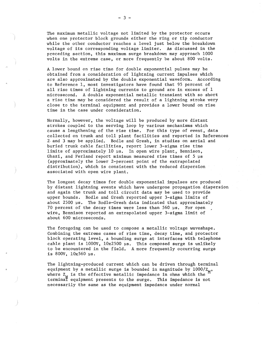The maximum metallic voltage not limited by the protector occurs when one protector block grounds either the ring or tip conductor while the other conductor reaches a level just below the breakdown voltage of its corresponding voltage limiter. As discussed in the preceding section, this maximum surge breakdown may approach 1000 volts in the extreme case, or more frequently be about 800 volts.

A lower bound on rise time for double exponential pulses may be obtained from a consideration of lightning current impulses which are also approximated by the double exponential waveform. According to Reference 1, most investigators have found that 95 percent of all rise times of lightning currents to ground are in excess of 1 microsecond. A double exponential metallic transient with so short a rise time may be considered the result of a lightning stroke very close to the terminal equipment and provides a lower bound on rise time in the case under consideration.

Normally, however, the voltage will be produced by more distant strokes coupled to the serving loop by various mechanisms which cause a lengthening of the rise time. For this type of event, data collected on trunk and toll plant facilities and reported in References 2- and 3 may be applied. Bodle and Gresh, in studies on aerial and buried trunk cable facilities, report lower 3-sigma rise time limits of approximately 10 µs. In open wire plant, Bennison, Ghazi, and Ferland report minimum measured rise times of 5 µs (approximately the lower 2-percent point of the extrapolated distribution), which is consistent with the reduced dispersion associated with open wire plant.

The longest decay times for double exponential impulses are produced by distant lightning events which have undergone propagation dispersion and again the trunk and toll circuit data may be used to provide upper bounds. Bodle and Gresh reported upper 3-sigma limits of about 2500 µs. The Bodle-Gresh data indicated that approximately 70 percent of the decay times were less than 560 µs. For open wire, Bennison reported an extrapolated upper 3-sigma limit of about 600 microseconds,

The foregoing can be used to compose a metallic voltage waveshape. Combining the extreme cases of rise time, decay time, and protector block operating level, a bounding surge at interfaces with telephone cable plant is  $1000V$ ,  $10x2500$  us. This composed surge is unlikely to be encountered in the field. A more frequently occurring surge is 800V, 10x560 µs.

The lightning-produced current which can be driven through terminal equipment by a metallic surge is bounded in magnitude by  $1000/Z_M$ , where  $Z_M$  is the effective metallic impedance in ohms which the terminaT equipment presents to the surge, This impedance is not necessarily the same as the equipment impedance under normal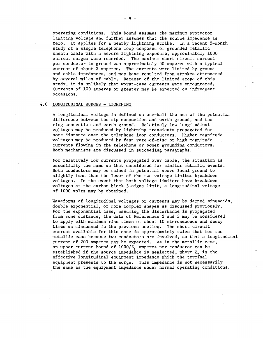operating conditions. This bound assumes the maximum protector limiting voltage and further assumes that the source impedance is zero, It applies for a nearby lightning strike, In a recent 5-month study of a single telephone loop composed of grounded metallic sheath cable with a severe lightning exposure, approximately 1000 current surges were recorded, The maximum short circuit current per conductor to ground was approximately 50 amperes with a typical current of about 2 amperes, The currents were limited by ground and cable impedances, and may have resulted from strokes attenuated by several miles of cable, Because of the limited scope of this study, it is unlikely that worst-case currents were encountered. Currents of 100 amperes or greater may be expected on infrequent occasions,

#### 4,0 LONGITUDINAL SURGES - LIGHTNING

A longitudinal voltage is defined as one-half the sum of the potential difference·between the tip connection and earth ground, and the ring connection and earth ground. Relatively low longitudinal voltages may be produced by lightning transients propagated for some distance over the telephone loop conductors. Higher magnitude voltages may be produced by fast rate-of-rise or high magnitude currents flowing in the telephone or power grounding conductors, Both mechanisms are discussed in succeeding paragraphs,

For relatively low currents propagated over cable, the situation is essentially the same as that considered for similar metallic events. Both conductors may be raised in potential above local ground to slightly less than the lower of the two voltage limiter breakdown voltages, In the event that both voltage limiters have breakdown voltages at the carbon block 3-sigma limit, a longitudinal voltage of 1000 volts may be obtained,

Waveforms of longitudinal voltages or currents may be damped sinusoids, double exponential, or more complex shapes as discussed previously. For the exponential case, assuming the disturbance is propagated from some distance, the data of References 2 and 3 may be considered to apply with minimum rise times of about 10 microseconds and decay times as discussed in the previous section, The short circuit current available for this case is approximately twice that for the metallic case because two conductors are involved, so that a longitudinal current of 200 amperes may be expected, As in the metallic case, an upper current bound of  $1000/Z<sub>r</sub>$  amperes per conductor can be established if the source impedance is neglected, where  $Z_i$  is the effective longitudinal equipment impedance which the terminal equipment presents to the surge, This impedance is not necessarily the same as the equipment impedance under normal operating conditions,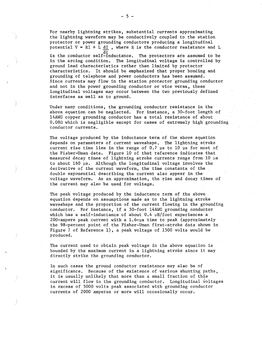For nearby lightning strikes, substantial currents approximating the lightning waveform may be conductively coupled to the station protector or power grounding conductors producing a longitudinal potential  $V = RI + L dI$ , where R is the conductor resistance and L

dt<br>is the conductor self-inductance. The protectors are assumed to be in the arcing condition, The longitudinal voltage is controlled by ground lead characteristics rather than limited by protector characteristics, It should be emphasized that proper bonding and grounding of telephone and power conductors has been assumed. Since currents may flow in the station protector grounding conductor and not in the power grounding conductor or vice versa, these longitudinal voltages may occur between the two previously defined interfaces as well as to ground,

Under many conditions, the grounding conductor resistance in the above equation can be neglected. For instance, a 30-foot length of 14AWG copper grounding conductor has a total resistance of about 0,08Q which is negligible except for cases of extremely high grounding conductor currents,

The voltage produced by the inductance term of the above equation depends on parameters of current waveshape, The lightning stroke current rise time lies in the range of 0.7 µs to 10 µs for most of the Fisher-Uman data, Figure 10 of that reference indicates that measured decay times of lightning stroke currents range from 10 µs to about 160 µs, Although the longitudinal voltage involves the derivative of the current waveform, the time constants of the double exponential describing the current also appear in the voltage waveform. As an approximation, the rise and decay times of the current may also be used for voltage,

The peak voltage produced by the inductance term of the abdve equation depends on assumptions made as to the lightning stroke waveshape and the proportion of the current flowing in the grounding conductor. For instance, if a 30-foot 14AWG grounding conductor which has a self-inductance of about  $0.4$  µH/foot experiences a 200-ampere peak current with a 1,6~µs time to peak (approximately the 98-percent point of the Fisher-Uman first-stroke data shown in Figure 7 of Reference 1), a peak voltage of 1500 volts would be produced.

The current used to obtain peak voltage in the above equation is bounded by the maximum current in a lightning stroke since it may directly strike the grouhding conductor.

In such cases the ground conductor resistance may also be of significance, Because of the existence of various shunting paths, it is usually unlikely that more than a small fraction of this current will flow in the grounding conductor. Longitudinal voltages in excess of 5000 volts peak associated with grounding conductor currents of 2000 amperes or more will occasionally occur.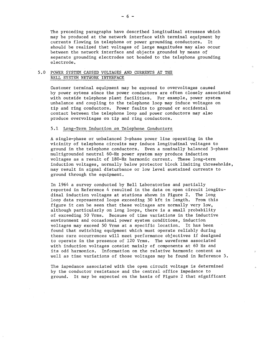The preceding paragraphs have described longitudinal stresses which may be produced at the network interface with terminal equipment by currents flowing in telephone or power grounding conductors. It currents flowing in telephone or power grounding conductors. should be realized that voltages of large magnitudes may also occur between the network interface and objects grounded by means *ot*  separate grounding electrodes not bonded to the telephone grounding electrode.

#### 5.0 POWER SYSTEM CAUSED VOLTAGES AND CURRENTS AT THE BELL SYSTEM NETWORK INTERFACE

Customer terminal equipment may be exposed to overvoltages caused by power sytems since the power conductors are often closely associated with outside telephone plant facilities. For example, power system unbalance and coupling to the telephone loop may induce voltages on tip and ring conductors. Power faults to ground or accidental contact between the telephone loop and power conductors may also produce overvoltages on tip and ring conductors.

#### 5.1 Long-Term Induction on Telephone Conductors

A single-phase or unbalanced 3-phase power line operating in the vicinity of telephone circuits may induce longitudinal voltages to ground in the telephone conductors. Even a nominally balanced 3-phase multigrounded neutral 60-Hz power system may produce induction voltages as a result of 180-Hz harmonic current. These long-term induction voltages, normally below protector block limiting threseholds, may result in signal disturbance or low level sustained currents to ground through the equipment.

In 1964 a survey conducted by Bell Laboratories and partially reported in Reference 4 resulted in the data on open circuit longitudinal induction voltages at stations shown in Figure 2. The long loop data represented loops exceeding 30 kft in length. From this figure it can be seen that these voltages are normally very low, although particularly on long loops, there is a small probability of exceeding 50 Vrms. Because of time variations in the inductive environment and occasional power system conditions, induction voltages may exceed 50 Vrms at a specific location. It has been found that switching equipment which must operate reliably during these rare occurrences will meet performance objectives if designed to operate in the presence of 120 Vrms. The waveforms associated with induction voltages consist mainly of components at 60 Hz and its odd harmonics. Information on the relative harmonic content as well as time variations of those voltages may be found in Reference S.

The impedance associated with the open circuit voltage is determined by the conductor resistance and the central office impedance to ground. It may be expected on the basis of Figure 2 that significant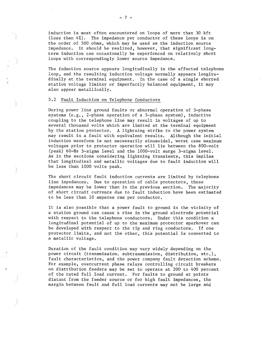induction is most often encountered on loops of more than 30 kft (less than 4%). The impedance per conductor of these loops is on the order of 500 ohms, which may be used as the induction source impedance. It should be realized, however, that significant longterm induction can occasionally be experienced on relatively short loops with correspondingly lower source impedance.

The induction source appears longitudinally in the affected telephone loop, and the resulting induction voltage normally appears longitudinally at the terminal equipment. In the case of a single shorted station voltage limiter or imperfectly balanced equipment, it may also appear metallically.

#### 5.2 Fault Induction on Telephone Conductors

During power line ground faults or abnormal operation of 3-phase systems (e.g., 2-phase operation of a 3-phase system), inductive coupling to the telephone line may result in voltages of up to several thousand volts which are limited at the terminal equipment by the station protector. A lightning strike to the power system may result in a fault with equivalent results. Although the initial induction waveform is not necessarily sinusoidal, worst case maximum voltages prior to protector operation will lie between the 800-volt (peak) 60-Hz 3-sigma level and the 1000-volt surge 3-sigma level. As in the sections considering lightning transients, this implies that longitudinal and metallic voltages due to fault induction will be less than 1000 volts peak.

The short circuit fault induction currents are limited by telephone line impedances, Due to operation of cable protectors, these impedances may be lower than in the previous section. The majority of short circuit currents due to fault induction have been estimated to be less than 10 amperes rms per conductor.

It is also possible that a power fault to ground in the vicinity of a station ground can cause a rise in the ground electrode potential with respect to the telephone conductors. Under this condition a longitudinal potential of up to the maximum protector sparkover can be developed with respect to the tip and ring conductors. If one protector limits, and not the other, this potential is converted to a metallic voltage.

Duration of the fault condition may vary widely depending on the power circuit (transmission. subtransmission, distribution, etc.), fault characteristics, and the power company fault detection scheme. For example, overcurrent phase relays controlling circuit breakers on distribution feeders may be set to operate at 200 to 400 percent of the rated full load current. For faults to ground at points distant from the feeder source or for high fault impedances, the margin between fault and full load currents may not be large and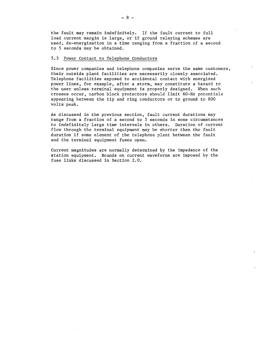the fault may remain indefinitely. If the fault current to full load current margin is large, or if ground relaying schemes are used, de-energization in a time ranging from a fraction of a second to 5 seconds may be obtained.

#### 5.3 Power Contact to Telephone Conductors

Since power companies and telephone companies serve the same customers, their outside plant facilities are necessarily closely associated. Telephone facilities exposed to accidental contact with energized power lines, for example, after a storm, may constitute a hazard to the user unless terminal equipment is properly designed. When such crosses occur, carbon Qlock protectors should limit 60-Hz potentials appearing between the tip and ring conductors or to ground to 800 volts peak.

As discussed in the previous section, fault current durations may range from a fraction of a second to 5 seconds in some circumstances to indefinitely large time intervals in others. Duration of current flow through the terminal equipment may be shorter than the fault duration if some element of the telephone plant between the fault and the terminal equipment fuses open.

Current magnitudes are normally determined by the impedance of the station equipment, Bounds on current waveforms are imposed by the fuse links discussed in Section 2.0.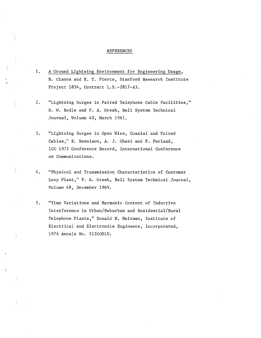#### REFERENCES

- 1. A Ground Lightning Environment for Engineering Usage, N. Cianos and E.T. Pierce, Stanford Research Institute Project 1834, Contract L.S.-2817-A3.
- 2. "Lightning Surges in Paired Telephone Cable Facilities," D. W. Bodle and P.A. Gresh, Bell System Technical Journal, Volume 40, March 1961.
- 3. "Lightning Surges in Open Wire, Coaxial and Paired Cables," E. Bennison, A. J. Ghazi and P. Ferland, ICC 1972 Conference Record, International Conference on Communications.
- 4. "Physical and Transmission Characteristics of Customer Loop Plant," P. A. Gresh, Bell System Technical Journal, Volume 48, December 1969.
- 5. "Time Variations and Harmonic Content of Inductive Interference in Urban/Suburban and Residential/Rural Telephone Plants," Donald N. Heirman, Institute of Electrical and Electronics Engineers, Incorporated, 1976 Annals No. 512C0010,